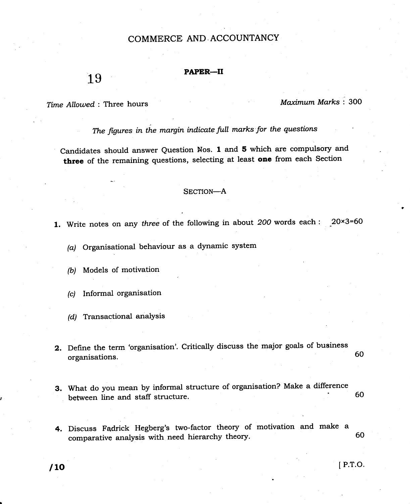## COMMERCE AND.ACCOUNTANCY

## PAPER-II

Time Allowed : Three hours

19

Maximum Marks : 300

The figures in the margin indicate full marks for the questions

candidates should answer Question Nos. 1 and 5 which are compulsory and three of the remaining questions, selecting at least one from each Section

## SECTION-A

1. Write notes on any three of the following in about 200 words each : 20×3=60

(a) Organisational behaviour as a dynamic system

(b) Models of motivation

(c) Informal organisation

(d) Transactional analysis

2. Define the term 'organisation'. Critically discuss the major goals of business organisations. 60

- What do you mean by informal structure of organisation? Make a difference 3. between line and staff structure. 60
- 60 4. Discuss Fadrick Hegberg's two-factor theory of motivation and make a comparative analysis with need hierarchy theory.

 $\blacksquare$  ID  $\blacksquare$  P.T.O.